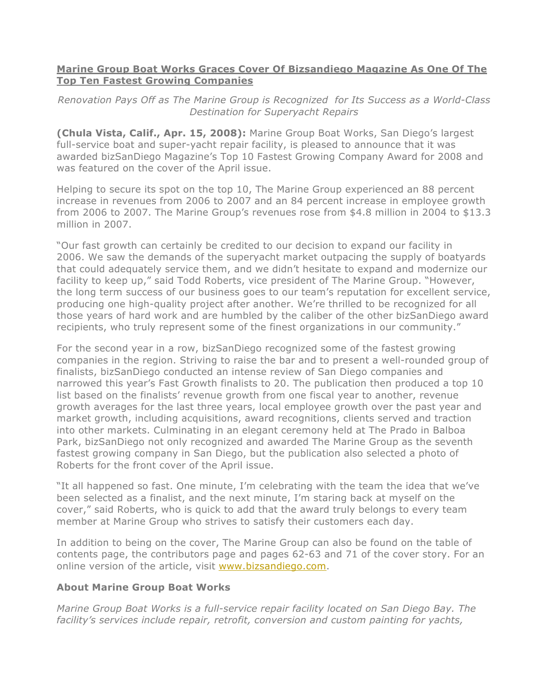## **Marine Group Boat Works Graces Cover Of Bizsandiego Magazine As One Of The Top Ten Fastest Growing Companies**

*Renovation Pays Off as The Marine Group is Recognized for Its Success as a World-Class Destination for Superyacht Repairs*

**(Chula Vista, Calif., Apr. 15, 2008):** Marine Group Boat Works, San Diego's largest full-service boat and super-yacht repair facility, is pleased to announce that it was awarded bizSanDiego Magazine's Top 10 Fastest Growing Company Award for 2008 and was featured on the cover of the April issue.

Helping to secure its spot on the top 10, The Marine Group experienced an 88 percent increase in revenues from 2006 to 2007 and an 84 percent increase in employee growth from 2006 to 2007. The Marine Group's revenues rose from \$4.8 million in 2004 to \$13.3 million in 2007.

"Our fast growth can certainly be credited to our decision to expand our facility in 2006. We saw the demands of the superyacht market outpacing the supply of boatyards that could adequately service them, and we didn't hesitate to expand and modernize our facility to keep up," said Todd Roberts, vice president of The Marine Group. "However, the long term success of our business goes to our team's reputation for excellent service, producing one high-quality project after another. We're thrilled to be recognized for all those years of hard work and are humbled by the caliber of the other bizSanDiego award recipients, who truly represent some of the finest organizations in our community."

For the second year in a row, bizSanDiego recognized some of the fastest growing companies in the region. Striving to raise the bar and to present a well-rounded group of finalists, bizSanDiego conducted an intense review of San Diego companies and narrowed this year's Fast Growth finalists to 20. The publication then produced a top 10 list based on the finalists' revenue growth from one fiscal year to another, revenue growth averages for the last three years, local employee growth over the past year and market growth, including acquisitions, award recognitions, clients served and traction into other markets. Culminating in an elegant ceremony held at The Prado in Balboa Park, bizSanDiego not only recognized and awarded The Marine Group as the seventh fastest growing company in San Diego, but the publication also selected a photo of Roberts for the front cover of the April issue.

"It all happened so fast. One minute, I'm celebrating with the team the idea that we've been selected as a finalist, and the next minute, I'm staring back at myself on the cover," said Roberts, who is quick to add that the award truly belongs to every team member at Marine Group who strives to satisfy their customers each day.

In addition to being on the cover, The Marine Group can also be found on the table of contents page, the contributors page and pages 62-63 and 71 of the cover story. For an online version of the article, visit www.bizsandiego.com.

## **About Marine Group Boat Works**

*Marine Group Boat Works is a full-service repair facility located on San Diego Bay. The facility's services include repair, retrofit, conversion and custom painting for yachts,*